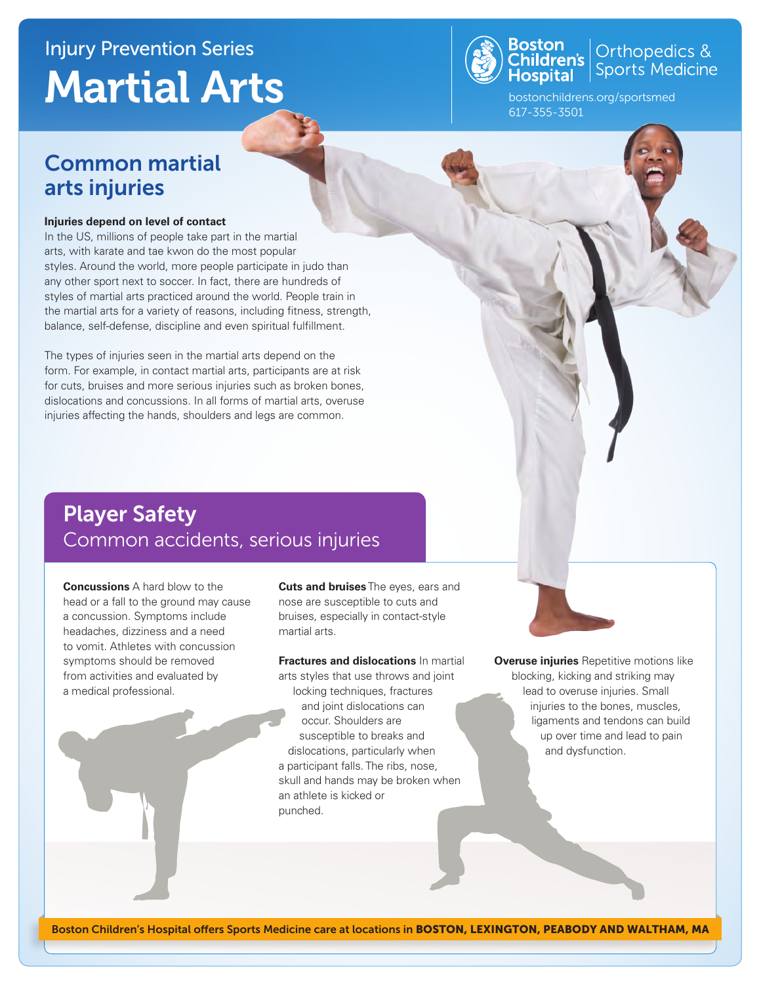# Injury Prevention Series Martial Arts



**Boston**<br>Children's Sports Medicine

bostonchildrens.org/sportsmed 617-355-3501

### Common martial arts injuries

#### **Injuries depend on level of contact**

In the US, millions of people take part in the martial arts, with karate and tae kwon do the most popular styles. Around the world, more people participate in judo than any other sport next to soccer. In fact, there are hundreds of styles of martial arts practiced around the world. People train in the martial arts for a variety of reasons, including fitness, strength, balance, self-defense, discipline and even spiritual fulfillment.

The types of injuries seen in the martial arts depend on the form. For example, in contact martial arts, participants are at risk for cuts, bruises and more serious injuries such as broken bones, dislocations and concussions. In all forms of martial arts, overuse injuries affecting the hands, shoulders and legs are common.

### Player Safety Common accidents, serious injuries

**Concussions** A hard blow to the head or a fall to the ground may cause a concussion. Symptoms include headaches, dizziness and a need to vomit. Athletes with concussion symptoms should be removed from activities and evaluated by a medical professional.

**Cuts and bruises** The eyes, ears and nose are susceptible to cuts and bruises, especially in contact-style martial arts.

**Fractures and dislocations** In martial arts styles that use throws and joint locking techniques, fractures and joint dislocations can occur. Shoulders are susceptible to breaks and dislocations, particularly when a participant falls. The ribs, nose, skull and hands may be broken when an athlete is kicked or punched.

**Overuse injuries** Repetitive motions like blocking, kicking and striking may lead to overuse injuries. Small injuries to the bones, muscles, ligaments and tendons can build up over time and lead to pain and dysfunction.

Boston Children's Hospital offers Sports Medicine care at locations in BOSTON, LEXINGTON, PEABODY AND WALTHAM, MA